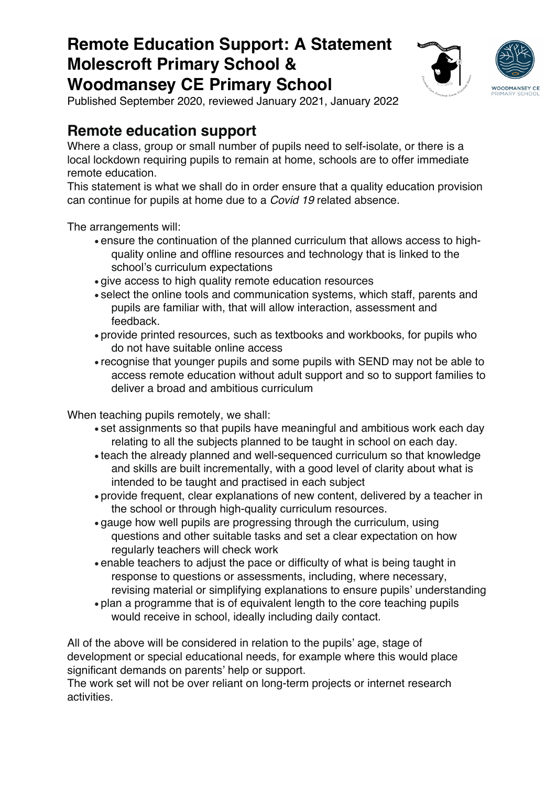

Published September 2020, reviewed January 2021, January 2022

### **Remote education support**

Where a class, group or small number of pupils need to self-isolate, or there is a local lockdown requiring pupils to remain at home, schools are to offer immediate remote education.

This statement is what we shall do in order ensure that a quality education provision can continue for pupils at home due to a *Covid 19* related absence.

The arrangements will:

- ensure the continuation of the planned curriculum that allows access to highquality online and offline resources and technology that is linked to the school's curriculum expectations
- give access to high quality remote education resources
- select the online tools and communication systems, which staff, parents and pupils are familiar with, that will allow interaction, assessment and feedback.
- provide printed resources, such as textbooks and workbooks, for pupils who do not have suitable online access
- recognise that younger pupils and some pupils with SEND may not be able to access remote education without adult support and so to support families to deliver a broad and ambitious curriculum

When teaching pupils remotely, we shall:

- set assignments so that pupils have meaningful and ambitious work each day relating to all the subjects planned to be taught in school on each day.
- teach the already planned and well-sequenced curriculum so that knowledge and skills are built incrementally, with a good level of clarity about what is intended to be taught and practised in each subject
- provide frequent, clear explanations of new content, delivered by a teacher in the school or through high-quality curriculum resources.
- gauge how well pupils are progressing through the curriculum, using questions and other suitable tasks and set a clear expectation on how regularly teachers will check work
- enable teachers to adjust the pace or difficulty of what is being taught in response to questions or assessments, including, where necessary, revising material or simplifying explanations to ensure pupils' understanding
- plan a programme that is of equivalent length to the core teaching pupils would receive in school, ideally including daily contact.

All of the above will be considered in relation to the pupils' age, stage of development or special educational needs, for example where this would place significant demands on parents' help or support.

The work set will not be over reliant on long-term projects or internet research activities.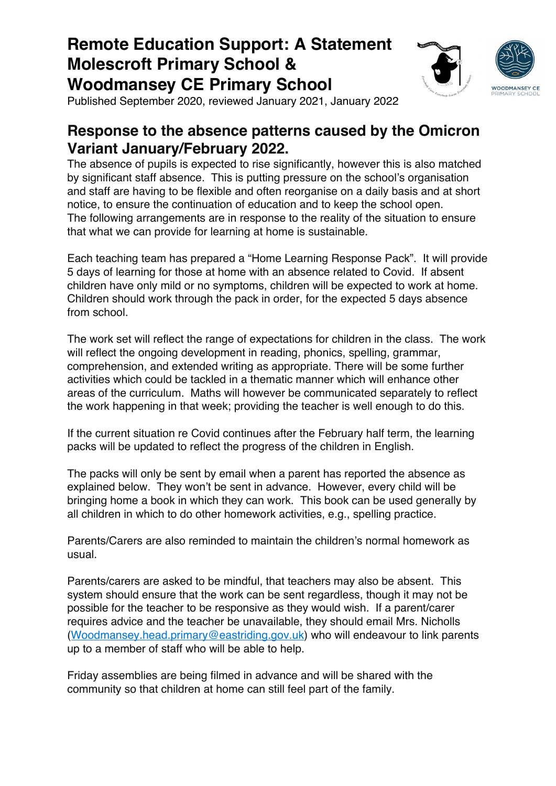

Published September 2020, reviewed January 2021, January 2022

### **Response to the absence patterns caused by the Omicron Variant January/February 2022.**

The absence of pupils is expected to rise significantly, however this is also matched by significant staff absence. This is putting pressure on the school's organisation and staff are having to be flexible and often reorganise on a daily basis and at short notice, to ensure the continuation of education and to keep the school open. The following arrangements are in response to the reality of the situation to ensure that what we can provide for learning at home is sustainable.

Each teaching team has prepared a "Home Learning Response Pack". It will provide 5 days of learning for those at home with an absence related to Covid. If absent children have only mild or no symptoms, children will be expected to work at home. Children should work through the pack in order, for the expected 5 days absence from school.

The work set will reflect the range of expectations for children in the class. The work will reflect the ongoing development in reading, phonics, spelling, grammar, comprehension, and extended writing as appropriate. There will be some further activities which could be tackled in a thematic manner which will enhance other areas of the curriculum. Maths will however be communicated separately to reflect the work happening in that week; providing the teacher is well enough to do this.

If the current situation re Covid continues after the February half term, the learning packs will be updated to reflect the progress of the children in English.

The packs will only be sent by email when a parent has reported the absence as explained below. They won't be sent in advance. However, every child will be bringing home a book in which they can work. This book can be used generally by all children in which to do other homework activities, e.g., spelling practice.

Parents/Carers are also reminded to maintain the children's normal homework as usual.

Parents/carers are asked to be mindful, that teachers may also be absent. This system should ensure that the work can be sent regardless, though it may not be possible for the teacher to be responsive as they would wish. If a parent/carer requires advice and the teacher be unavailable, they should email Mrs. Nicholls (Woodmansey.head.primary@eastriding.gov.uk) who will endeavour to link parents up to a member of staff who will be able to help.

Friday assemblies are being filmed in advance and will be shared with the community so that children at home can still feel part of the family.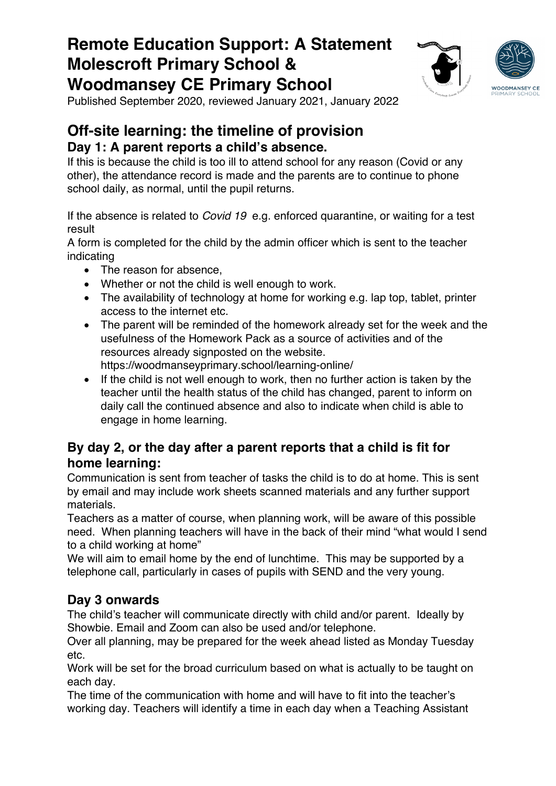

Published September 2020, reviewed January 2021, January 2022

### **Off-site learning: the timeline of provision Day 1: A parent reports a child's absence.**

If this is because the child is too ill to attend school for any reason (Covid or any other), the attendance record is made and the parents are to continue to phone school daily, as normal, until the pupil returns.

If the absence is related to *Covid 19* e.g. enforced quarantine, or waiting for a test result

A form is completed for the child by the admin officer which is sent to the teacher indicating

- The reason for absence,
- Whether or not the child is well enough to work.
- The availability of technology at home for working e.g. lap top, tablet, printer access to the internet etc.
- The parent will be reminded of the homework already set for the week and the usefulness of the Homework Pack as a source of activities and of the resources already signposted on the website. https://woodmanseyprimary.school/learning-online/
- If the child is not well enough to work, then no further action is taken by the teacher until the health status of the child has changed, parent to inform on daily call the continued absence and also to indicate when child is able to engage in home learning.

#### **By day 2, or the day after a parent reports that a child is fit for home learning:**

Communication is sent from teacher of tasks the child is to do at home. This is sent by email and may include work sheets scanned materials and any further support materials.

Teachers as a matter of course, when planning work, will be aware of this possible need. When planning teachers will have in the back of their mind "what would I send to a child working at home"

We will aim to email home by the end of lunchtime. This may be supported by a telephone call, particularly in cases of pupils with SEND and the very young.

### **Day 3 onwards**

The child's teacher will communicate directly with child and/or parent. Ideally by Showbie. Email and Zoom can also be used and/or telephone.

Over all planning, may be prepared for the week ahead listed as Monday Tuesday etc.

Work will be set for the broad curriculum based on what is actually to be taught on each day.

The time of the communication with home and will have to fit into the teacher's working day. Teachers will identify a time in each day when a Teaching Assistant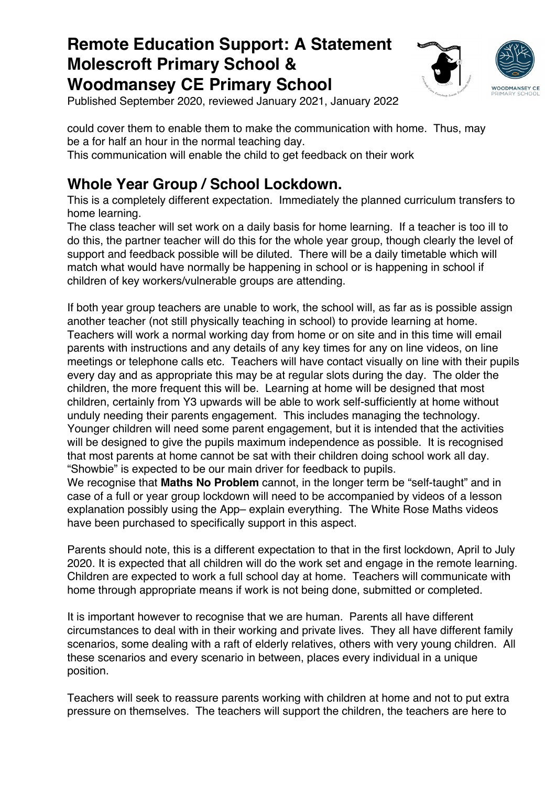

Published September 2020, reviewed January 2021, January 2022

could cover them to enable them to make the communication with home. Thus, may be a for half an hour in the normal teaching day. This communication will enable the child to get feedback on their work

### **Whole Year Group / School Lockdown.**

This is a completely different expectation. Immediately the planned curriculum transfers to home learning.

The class teacher will set work on a daily basis for home learning. If a teacher is too ill to do this, the partner teacher will do this for the whole year group, though clearly the level of support and feedback possible will be diluted. There will be a daily timetable which will match what would have normally be happening in school or is happening in school if children of key workers/vulnerable groups are attending.

If both year group teachers are unable to work, the school will, as far as is possible assign another teacher (not still physically teaching in school) to provide learning at home. Teachers will work a normal working day from home or on site and in this time will email parents with instructions and any details of any key times for any on line videos, on line meetings or telephone calls etc. Teachers will have contact visually on line with their pupils every day and as appropriate this may be at regular slots during the day. The older the children, the more frequent this will be. Learning at home will be designed that most children, certainly from Y3 upwards will be able to work self-sufficiently at home without unduly needing their parents engagement. This includes managing the technology. Younger children will need some parent engagement, but it is intended that the activities will be designed to give the pupils maximum independence as possible. It is recognised that most parents at home cannot be sat with their children doing school work all day. "Showbie" is expected to be our main driver for feedback to pupils.

We recognise that **Maths No Problem** cannot, in the longer term be "self-taught" and in case of a full or year group lockdown will need to be accompanied by videos of a lesson explanation possibly using the App– explain everything. The White Rose Maths videos have been purchased to specifically support in this aspect.

Parents should note, this is a different expectation to that in the first lockdown, April to July 2020. It is expected that all children will do the work set and engage in the remote learning. Children are expected to work a full school day at home. Teachers will communicate with home through appropriate means if work is not being done, submitted or completed.

It is important however to recognise that we are human. Parents all have different circumstances to deal with in their working and private lives. They all have different family scenarios, some dealing with a raft of elderly relatives, others with very young children. All these scenarios and every scenario in between, places every individual in a unique position.

Teachers will seek to reassure parents working with children at home and not to put extra pressure on themselves. The teachers will support the children, the teachers are here to